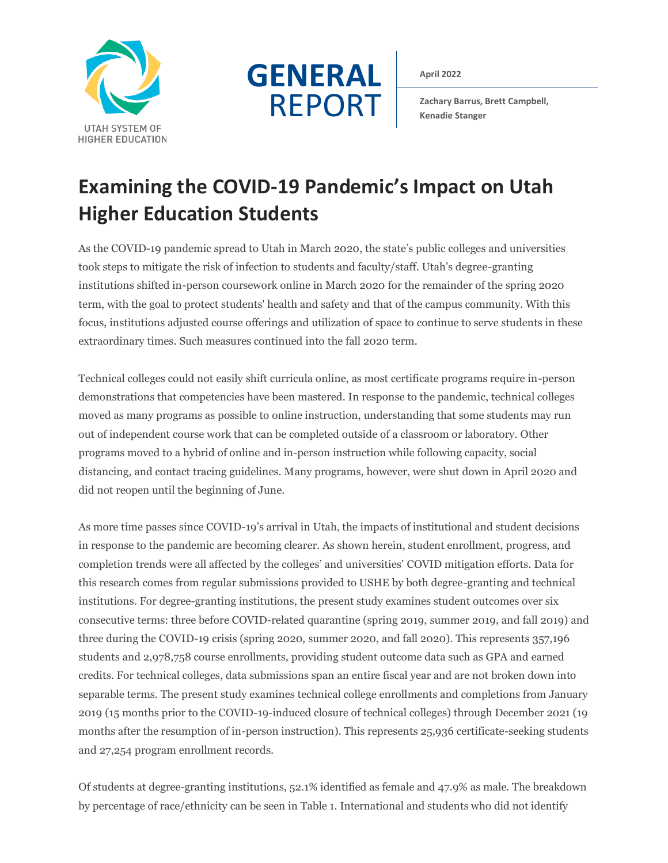



**April 2022**

**Zachary Barrus, Brett Campbell, Kenadie Stanger**

# **Examining the COVID-19 Pandemic's Impact on Utah Higher Education Students**

As the COVID-19 pandemic spread to Utah in March 2020, the state's public colleges and universities took steps to mitigate the risk of infection to students and faculty/staff. Utah's degree-granting institutions shifted in-person coursework online in March 2020 for the remainder of the spring 2020 term, with the goal to protect students' health and safety and that of the campus community. With this focus, institutions adjusted course offerings and utilization of space to continue to serve students in these extraordinary times. Such measures continued into the fall 2020 term.

Technical colleges could not easily shift curricula online, as most certificate programs require in-person demonstrations that competencies have been mastered. In response to the pandemic, technical colleges moved as many programs as possible to online instruction, understanding that some students may run out of independent course work that can be completed outside of a classroom or laboratory. Other programs moved to a hybrid of online and in-person instruction while following capacity, social distancing, and contact tracing guidelines. Many programs, however, were shut down in April 2020 and did not reopen until the beginning of June.

As more time passes since COVID-19's arrival in Utah, the impacts of institutional and student decisions in response to the pandemic are becoming clearer. As shown herein, student enrollment, progress, and completion trends were all affected by the colleges' and universities' COVID mitigation efforts. Data for this research comes from regular submissions provided to USHE by both degree-granting and technical institutions. For degree-granting institutions, the present study examines student outcomes over six consecutive terms: three before COVID-related quarantine (spring 2019, summer 2019, and fall 2019) and three during the COVID-19 crisis (spring 2020, summer 2020, and fall 2020). This represents 357,196 students and 2,978,758 course enrollments, providing student outcome data such as GPA and earned credits. For technical colleges, data submissions span an entire fiscal year and are not broken down into separable terms. The present study examines technical college enrollments and completions from January 2019 (15 months prior to the COVID-19-induced closure of technical colleges) through December 2021 (19 months after the resumption of in-person instruction). This represents 25,936 certificate-seeking students and 27,254 program enrollment records.

Of students at degree-granting institutions, 52.1% identified as female and 47.9% as male. The breakdown by percentage of race/ethnicity can be seen in Table 1. International and students who did not identify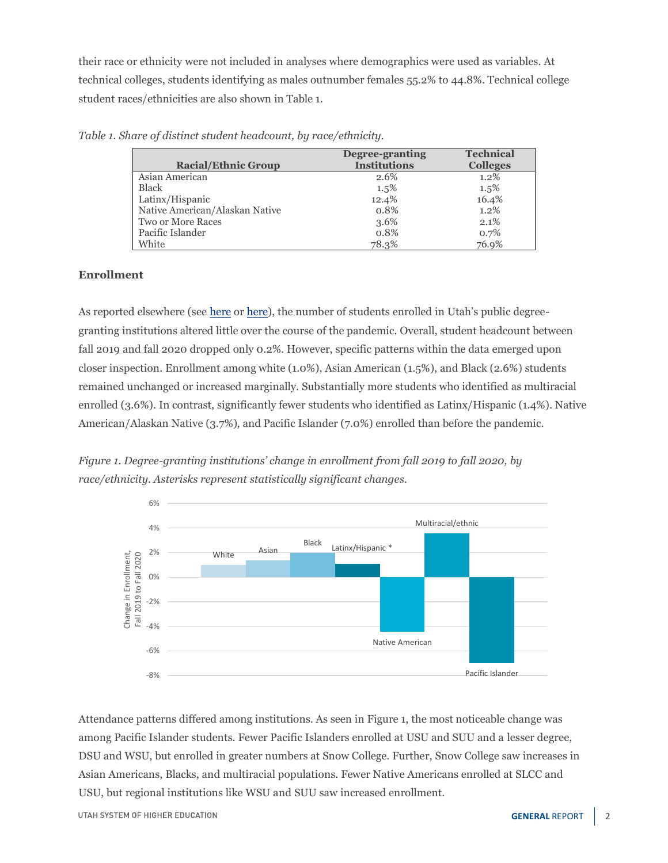their race or ethnicity were not included in analyses where demographics were used as variables. At technical colleges, students identifying as males outnumber females 55.2% to 44.8%. Technical college student races/ethnicities are also shown in Table 1.

|                                | Degree-granting     | <b>Technical</b> |
|--------------------------------|---------------------|------------------|
| <b>Racial/Ethnic Group</b>     | <b>Institutions</b> | <b>Colleges</b>  |
| Asian American                 | 2.6%                | $1.2\%$          |
| <b>Black</b>                   | $1.5\%$             | 1.5%             |
| Latinx/Hispanic                | 12.4%               | 16.4%            |
| Native American/Alaskan Native | 0.8%                | 1.2%             |
| Two or More Races              | 3.6%                | 2.1%             |
| Pacific Islander               | 0.8%                | 0.7%             |
| White                          | 78.3%               | 76.9%            |

*Table 1. Share of distinct student headcount, by race/ethnicity.* 

### **Enrollment**

As reported elsewhere (see [here](https://ushe.edu/institutional-data-resources-headcount/) or here), the number of students enrolled in Utah's public degreegranting institutions altered little over the course of the pandemic. Overall, student headcount between fall 2019 and fall 2020 dropped only 0.2%. However, specific patterns within the data emerged upon closer inspection. Enrollment among white (1.0%), Asian American (1.5%), and Black (2.6%) students remained unchanged or increased marginally. Substantially more students who identified as multiracial enrolled (3.6%). In contrast, significantly fewer students who identified as Latinx/Hispanic (1.4%). Native American/Alaskan Native (3.7%), and Pacific Islander (7.0%) enrolled than before the pandemic.

*Figure 1. Degree-granting institutions' change in enrollment from fall 2019 to fall 2020, by race/ethnicity. Asterisks represent statistically significant changes.*



Attendance patterns differed among institutions. As seen in Figure 1, the most noticeable change was among Pacific Islander students. Fewer Pacific Islanders enrolled at USU and SUU and a lesser degree, DSU and WSU, but enrolled in greater numbers at Snow College. Further, Snow College saw increases in Asian Americans, Blacks, and multiracial populations. Fewer Native Americans enrolled at SLCC and USU, but regional institutions like WSU and SUU saw increased enrollment.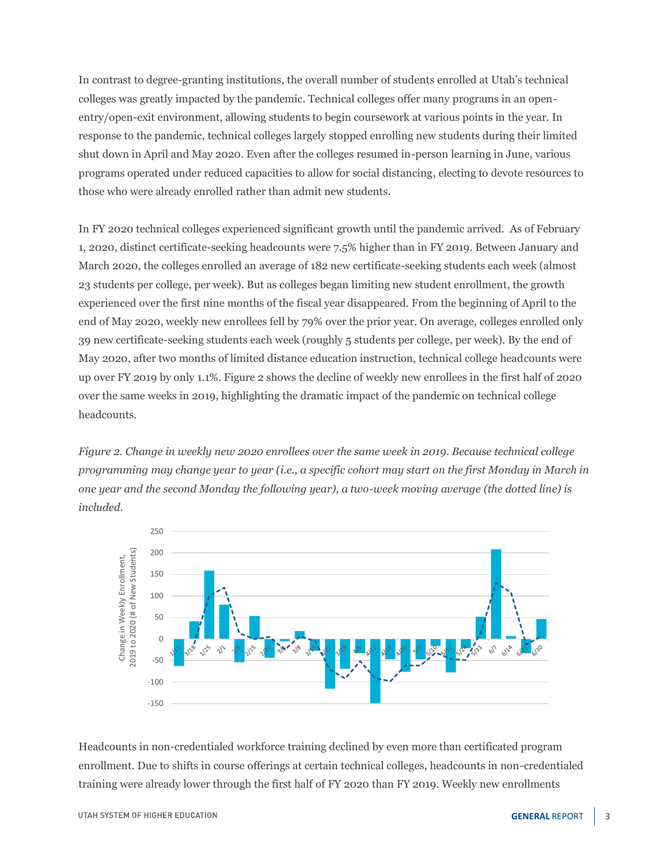In contrast to degree-granting institutions, the overall number of students enrolled at Utah's technical colleges was greatly impacted by the pandemic. Technical colleges offer many programs in an openentry/open-exit environment, allowing students to begin coursework at various points in the year. In response to the pandemic, technical colleges largely stopped enrolling new students during their limited shut down in April and May 2020. Even after the colleges resumed in-person learning in June, various programs operated under reduced capacities to allow for social distancing, electing to devote resources to those who were already enrolled rather than admit new students.

In FY 2020 technical colleges experienced significant growth until the pandemic arrived. As of February 1, 2020, distinct certificate-seeking headcounts were 7.5% higher than in FY 2019. Between January and March 2020, the colleges enrolled an average of 182 new certificate-seeking students each week (almost 23 students per college, per week). But as colleges began limiting new student enrollment, the growth experienced over the first nine months of the fiscal year disappeared. From the beginning of April to the end of May 2020, weekly new enrollees fell by 79% over the prior year. On average, colleges enrolled only 39 new certificate-seeking students each week (roughly 5 students per college, per week). By the end of May 2020, after two months of limited distance education instruction, technical college headcounts were up over FY 2019 by only 1.1%. Figure 2 shows the decline of weekly new enrollees in the first half of 2020 over the same weeks in 2019, highlighting the dramatic impact of the pandemic on technical college headcounts.

*Figure 2. Change in weekly new 2020 enrollees over the same week in 2019. Because technical college programming may change year to year (i.e., a specific cohort may start on the first Monday in March in one year and the second Monday the following year), a two-week moving average (the dotted line) is included.*



Headcounts in non-credentialed workforce training declined by even more than certificated program enrollment. Due to shifts in course offerings at certain technical colleges, headcounts in non-credentialed training were already lower through the first half of FY 2020 than FY 2019. Weekly new enrollments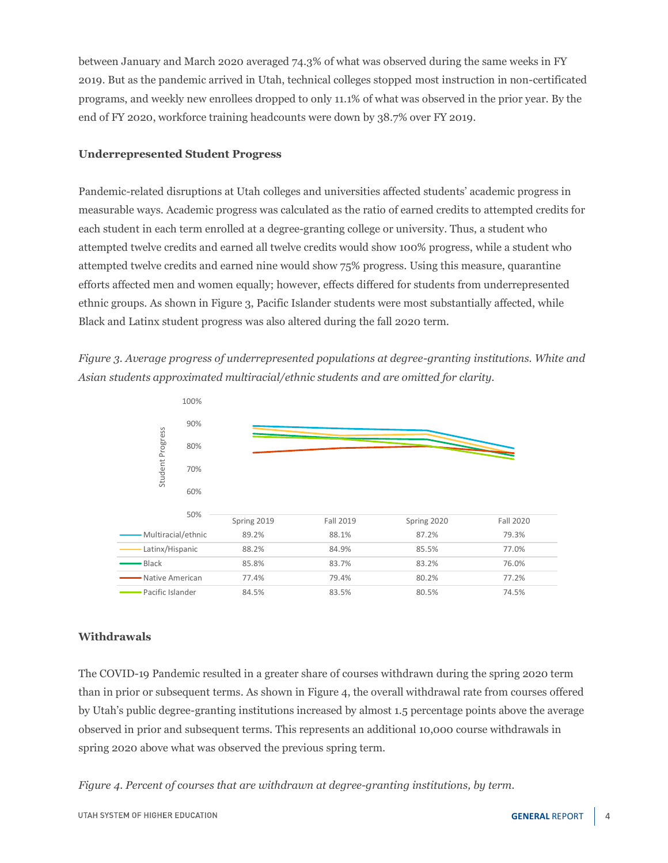between January and March 2020 averaged 74.3% of what was observed during the same weeks in FY 2019. But as the pandemic arrived in Utah, technical colleges stopped most instruction in non-certificated programs, and weekly new enrollees dropped to only 11.1% of what was observed in the prior year. By the end of FY 2020, workforce training headcounts were down by 38.7% over FY 2019.

#### **Underrepresented Student Progress**

Pandemic-related disruptions at Utah colleges and universities affected students' academic progress in measurable ways. Academic progress was calculated as the ratio of earned credits to attempted credits for each student in each term enrolled at a degree-granting college or university. Thus, a student who attempted twelve credits and earned all twelve credits would show 100% progress, while a student who attempted twelve credits and earned nine would show 75% progress. Using this measure, quarantine efforts affected men and women equally; however, effects differed for students from underrepresented ethnic groups. As shown in Figure 3, Pacific Islander students were most substantially affected, while Black and Latinx student progress was also altered during the fall 2020 term.

*Figure 3. Average progress of underrepresented populations at degree-granting institutions. White and Asian students approximated multiracial/ethnic students and are omitted for clarity.*



## **Withdrawals**

The COVID-19 Pandemic resulted in a greater share of courses withdrawn during the spring 2020 term than in prior or subsequent terms. As shown in Figure 4, the overall withdrawal rate from courses offered by Utah's public degree-granting institutions increased by almost 1.5 percentage points above the average observed in prior and subsequent terms. This represents an additional 10,000 course withdrawals in spring 2020 above what was observed the previous spring term.

*Figure 4. Percent of courses that are withdrawn at degree-granting institutions, by term.*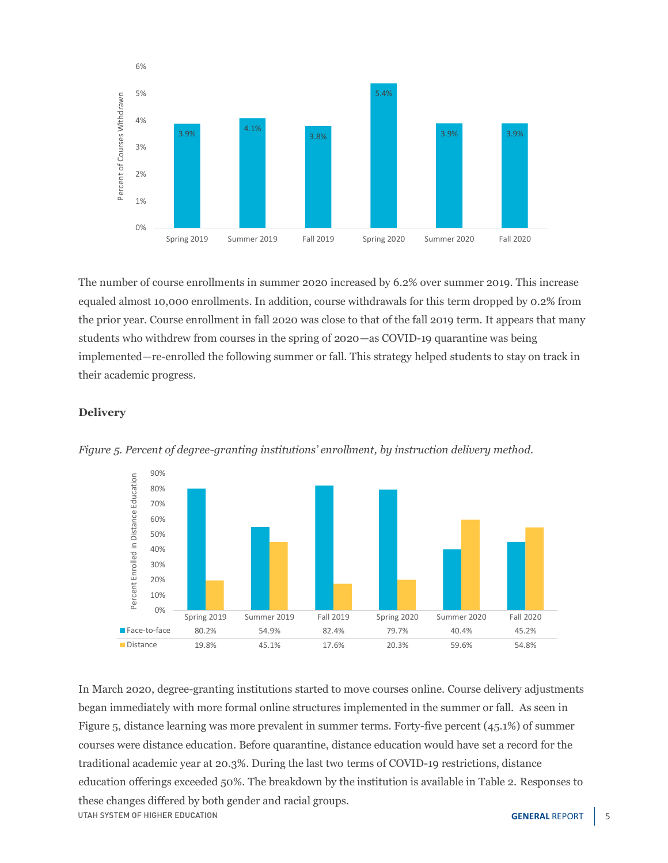

The number of course enrollments in summer 2020 increased by 6.2% over summer 2019. This increase equaled almost 10,000 enrollments. In addition, course withdrawals for this term dropped by 0.2% from the prior year. Course enrollment in fall 2020 was close to that of the fall 2019 term. It appears that many students who withdrew from courses in the spring of 2020—as COVID-19 quarantine was being implemented—re-enrolled the following summer or fall. This strategy helped students to stay on track in their academic progress.

#### **Delivery**



*Figure 5. Percent of degree-granting institutions' enrollment, by instruction delivery method.*

In March 2020, degree-granting institutions started to move courses online. Course delivery adjustments began immediately with more formal online structures implemented in the summer or fall. As seen in Figure 5, distance learning was more prevalent in summer terms. Forty-five percent (45.1%) of summer courses were distance education. Before quarantine, distance education would have set a record for the traditional academic year at 20.3%. During the last two terms of COVID-19 restrictions, distance education offerings exceeded 50%. The breakdown by the institution is available in Table 2. Responses to these changes differed by both gender and racial groups. UTAH SYSTEM OF HIGHER EDUCATION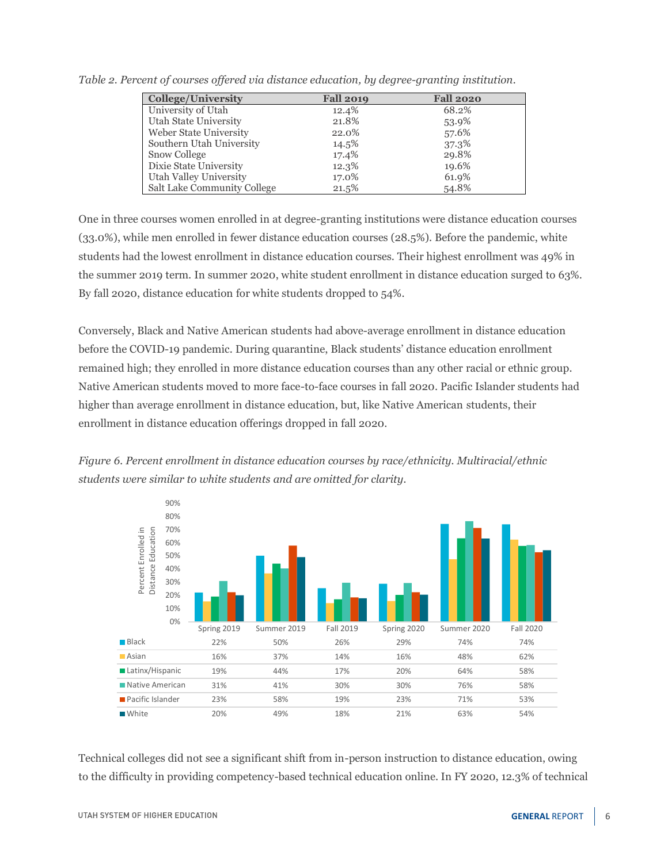| <b>College/University</b>   | <b>Fall 2019</b> | <b>Fall 2020</b> |
|-----------------------------|------------------|------------------|
| University of Utah          | 12.4%            | 68.2%            |
| Utah State University       | 21.8%            | 53.9%            |
| Weber State University      | 22.0%            | 57.6%            |
| Southern Utah University    | 14.5%            | 37.3%            |
| Snow College                | 17.4%            | 29.8%            |
| Dixie State University      | 12.3%            | 19.6%            |
| Utah Valley University      | 17.0%            | 61.9%            |
| Salt Lake Community College | 21.5%            | 54.8%            |

*Table 2. Percent of courses offered via distance education, by degree-granting institution.*

One in three courses women enrolled in at degree-granting institutions were distance education courses (33.0%), while men enrolled in fewer distance education courses (28.5%). Before the pandemic, white students had the lowest enrollment in distance education courses. Their highest enrollment was 49% in the summer 2019 term. In summer 2020, white student enrollment in distance education surged to 63%. By fall 2020, distance education for white students dropped to 54%.

Conversely, Black and Native American students had above-average enrollment in distance education before the COVID-19 pandemic. During quarantine, Black students' distance education enrollment remained high; they enrolled in more distance education courses than any other racial or ethnic group. Native American students moved to more face-to-face courses in fall 2020. Pacific Islander students had higher than average enrollment in distance education, but, like Native American students, their enrollment in distance education offerings dropped in fall 2020.





Technical colleges did not see a significant shift from in-person instruction to distance education, owing to the difficulty in providing competency-based technical education online. In FY 2020, 12.3% of technical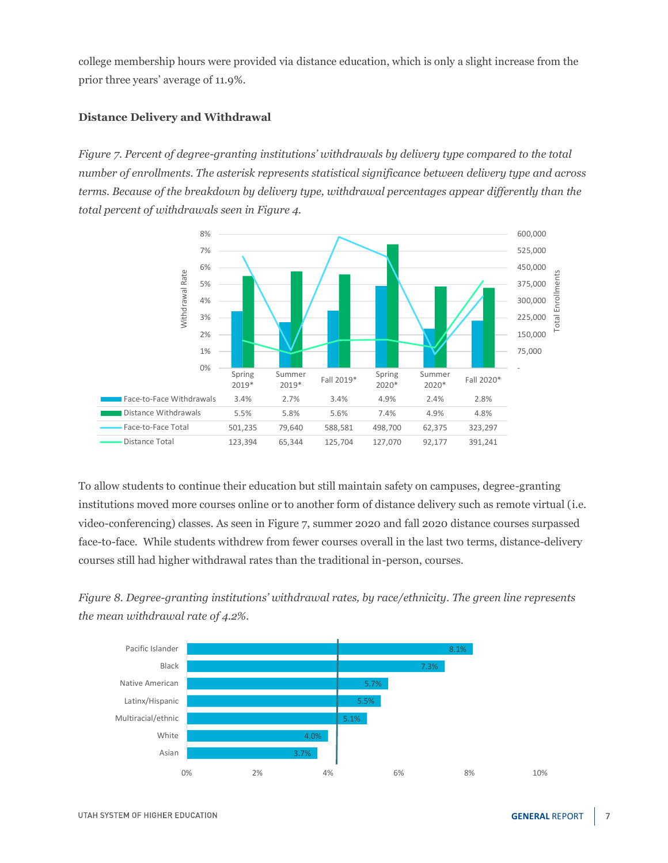college membership hours were provided via distance education, which is only a slight increase from the prior three years' average of 11.9%.

#### **Distance Delivery and Withdrawal**

*Figure 7. Percent of degree-granting institutions' withdrawals by delivery type compared to the total number of enrollments. The asterisk represents statistical significance between delivery type and across terms. Because of the breakdown by delivery type, withdrawal percentages appear differently than the total percent of withdrawals seen in Figure 4.*



To allow students to continue their education but still maintain safety on campuses, degree-granting institutions moved more courses online or to another form of distance delivery such as remote virtual (i.e. video-conferencing) classes. As seen in Figure 7, summer 2020 and fall 2020 distance courses surpassed face-to-face. While students withdrew from fewer courses overall in the last two terms, distance-delivery courses still had higher withdrawal rates than the traditional in-person, courses.

*Figure 8. Degree-granting institutions' withdrawal rates, by race/ethnicity. The green line represents the mean withdrawal rate of 4.2%.*

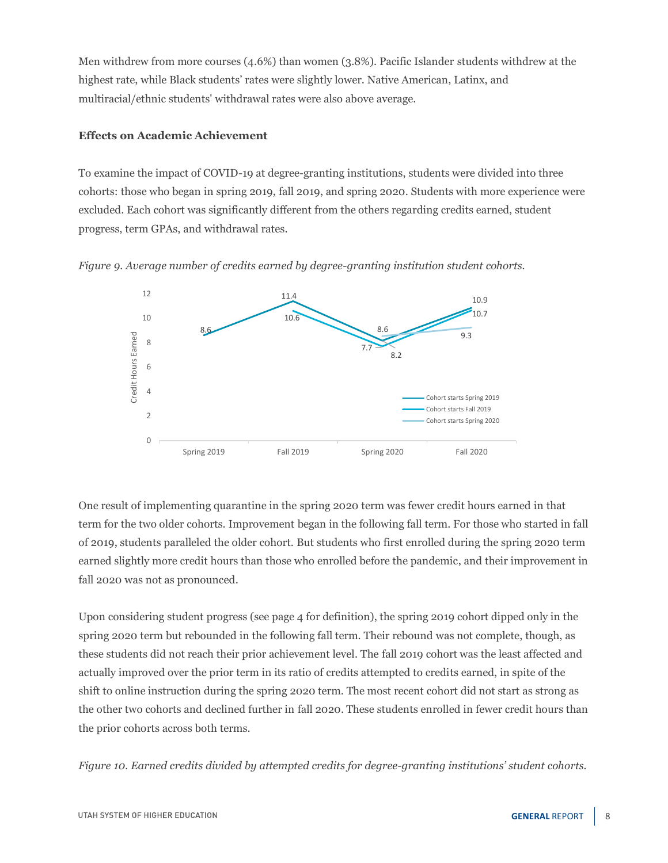Men withdrew from more courses (4.6%) than women (3.8%). Pacific Islander students withdrew at the highest rate, while Black students' rates were slightly lower. Native American, Latinx, and multiracial/ethnic students' withdrawal rates were also above average.

## **Effects on Academic Achievement**

To examine the impact of COVID-19 at degree-granting institutions, students were divided into three cohorts: those who began in spring 2019, fall 2019, and spring 2020. Students with more experience were excluded. Each cohort was significantly different from the others regarding credits earned, student progress, term GPAs, and withdrawal rates.





One result of implementing quarantine in the spring 2020 term was fewer credit hours earned in that term for the two older cohorts. Improvement began in the following fall term. For those who started in fall of 2019, students paralleled the older cohort. But students who first enrolled during the spring 2020 term earned slightly more credit hours than those who enrolled before the pandemic, and their improvement in fall 2020 was not as pronounced.

Upon considering student progress (see page 4 for definition), the spring 2019 cohort dipped only in the spring 2020 term but rebounded in the following fall term. Their rebound was not complete, though, as these students did not reach their prior achievement level. The fall 2019 cohort was the least affected and actually improved over the prior term in its ratio of credits attempted to credits earned, in spite of the shift to online instruction during the spring 2020 term. The most recent cohort did not start as strong as the other two cohorts and declined further in fall 2020. These students enrolled in fewer credit hours than the prior cohorts across both terms.

*Figure 10. Earned credits divided by attempted credits for degree-granting institutions' student cohorts.*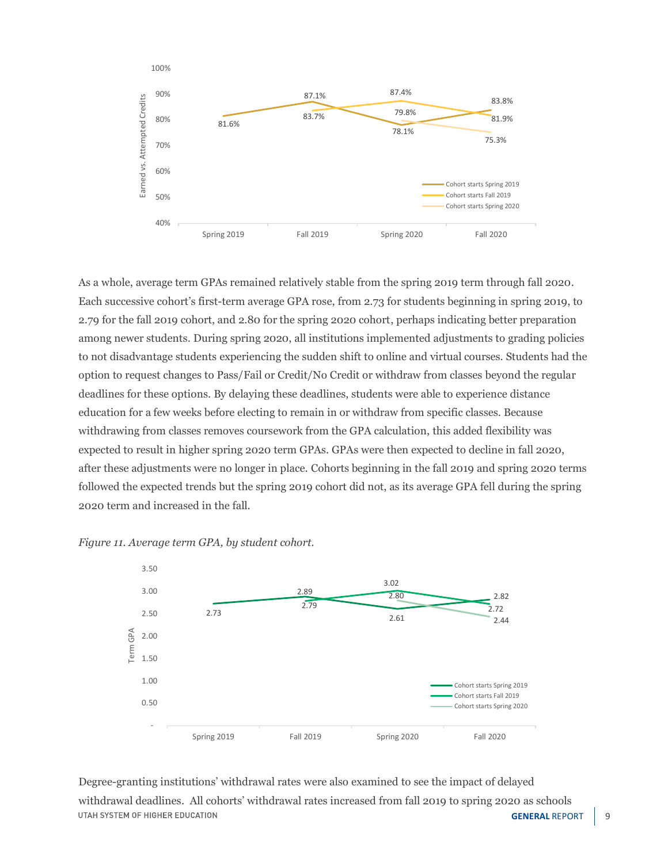

As a whole, average term GPAs remained relatively stable from the spring 2019 term through fall 2020. Each successive cohort's first-term average GPA rose, from 2.73 for students beginning in spring 2019, to 2.79 for the fall 2019 cohort, and 2.80 for the spring 2020 cohort, perhaps indicating better preparation among newer students. During spring 2020, all institutions implemented adjustments to grading policies to not disadvantage students experiencing the sudden shift to online and virtual courses. Students had the option to request changes to Pass/Fail or Credit/No Credit or withdraw from classes beyond the regular deadlines for these options. By delaying these deadlines, students were able to experience distance education for a few weeks before electing to remain in or withdraw from specific classes. Because withdrawing from classes removes coursework from the GPA calculation, this added flexibility was expected to result in higher spring 2020 term GPAs. GPAs were then expected to decline in fall 2020, after these adjustments were no longer in place. Cohorts beginning in the fall 2019 and spring 2020 terms followed the expected trends but the spring 2019 cohort did not, as its average GPA fell during the spring 2020 term and increased in the fall.



*Figure 11. Average term GPA, by student cohort.*

Degree-granting institutions' withdrawal rates were also examined to see the impact of delayed withdrawal deadlines. All cohorts' withdrawal rates increased from fall 2019 to spring 2020 as schools UTAH SYSTEM OF HIGHER EDUCATION **GENERAL REPORT** 9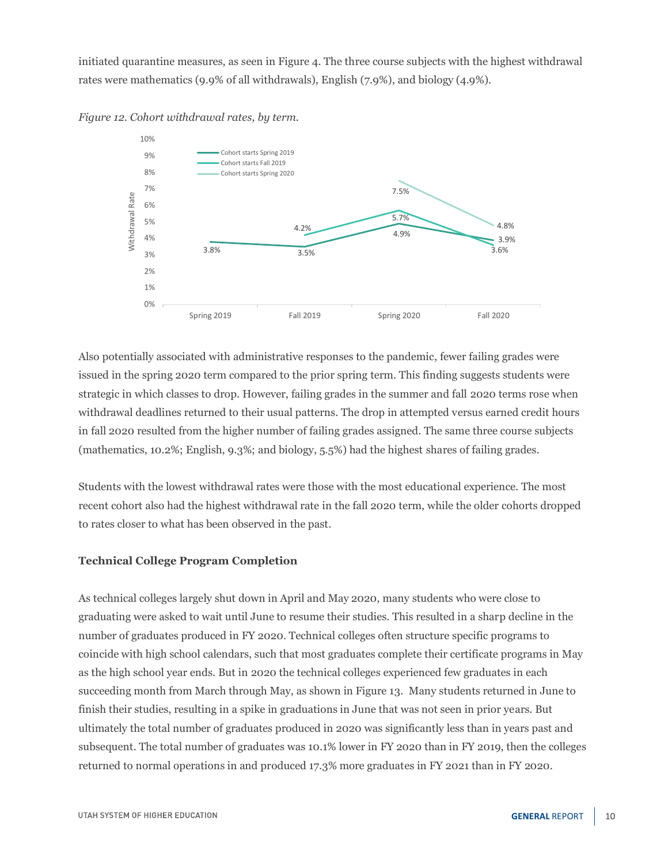initiated quarantine measures, as seen in Figure 4. The three course subjects with the highest withdrawal rates were mathematics (9.9% of all withdrawals), English (7.9%), and biology (4.9%).





Also potentially associated with administrative responses to the pandemic, fewer failing grades were issued in the spring 2020 term compared to the prior spring term. This finding suggests students were strategic in which classes to drop. However, failing grades in the summer and fall 2020 terms rose when withdrawal deadlines returned to their usual patterns. The drop in attempted versus earned credit hours in fall 2020 resulted from the higher number of failing grades assigned. The same three course subjects (mathematics, 10.2%; English, 9.3%; and biology, 5.5%) had the highest shares of failing grades.

Students with the lowest withdrawal rates were those with the most educational experience. The most recent cohort also had the highest withdrawal rate in the fall 2020 term, while the older cohorts dropped to rates closer to what has been observed in the past.

## **Technical College Program Completion**

As technical colleges largely shut down in April and May 2020, many students who were close to graduating were asked to wait until June to resume their studies. This resulted in a sharp decline in the number of graduates produced in FY 2020. Technical colleges often structure specific programs to coincide with high school calendars, such that most graduates complete their certificate programs in May as the high school year ends. But in 2020 the technical colleges experienced few graduates in each succeeding month from March through May, as shown in Figure 13. Many students returned in June to finish their studies, resulting in a spike in graduations in June that was not seen in prior years. But ultimately the total number of graduates produced in 2020 was significantly less than in years past and subsequent. The total number of graduates was 10.1% lower in FY 2020 than in FY 2019, then the colleges returned to normal operations in and produced 17.3% more graduates in FY 2021 than in FY 2020.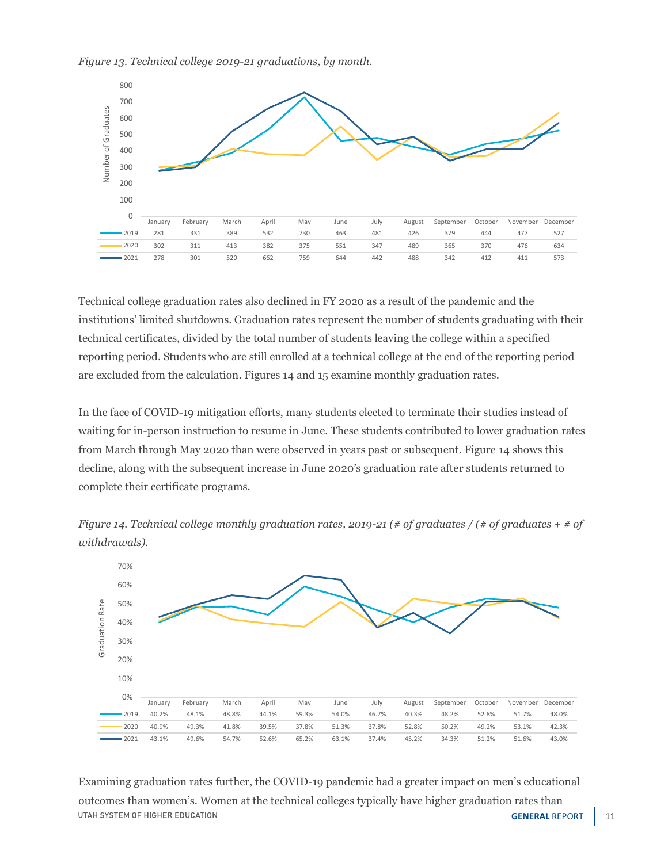



Technical college graduation rates also declined in FY 2020 as a result of the pandemic and the institutions' limited shutdowns. Graduation rates represent the number of students graduating with their technical certificates, divided by the total number of students leaving the college within a specified reporting period. Students who are still enrolled at a technical college at the end of the reporting period are excluded from the calculation. Figures 14 and 15 examine monthly graduation rates.

In the face of COVID-19 mitigation efforts, many students elected to terminate their studies instead of waiting for in-person instruction to resume in June. These students contributed to lower graduation rates from March through May 2020 than were observed in years past or subsequent. Figure 14 shows this decline, along with the subsequent increase in June 2020's graduation rate after students returned to complete their certificate programs.



January February March April May June July August September October November December 40.2% 48.1% 48.8% 44.1% 59.3% 54.0% 46.7% 40.3% 48.2% 52.8% 51.7% 48.0% 40.9% 49.3% 41.8% 39.5% 37.8% 51.3% 37.8% 52.8% 50.2% 49.2% 53.1% 42.3% 43.1% 49.6% 54.7% 52.6% 65.2% 63.1% 37.4% 45.2% 34.3% 51.2% 51.6% 43.0%

0% 10%



Examining graduation rates further, the COVID-19 pandemic had a greater impact on men's educational outcomes than women's. Women at the technical colleges typically have higher graduation rates than UTAH SYSTEM OF HIGHER EDUCATION **GENERAL REPORT** | 11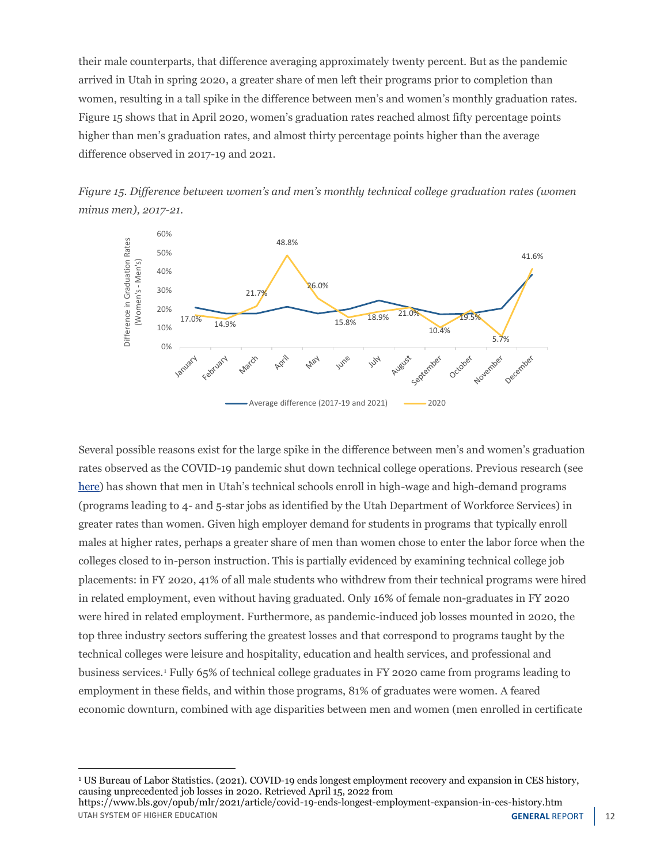their male counterparts, that difference averaging approximately twenty percent. But as the pandemic arrived in Utah in spring 2020, a greater share of men left their programs prior to completion than women, resulting in a tall spike in the difference between men's and women's monthly graduation rates. Figure 15 shows that in April 2020, women's graduation rates reached almost fifty percentage points higher than men's graduation rates, and almost thirty percentage points higher than the average difference observed in 2017-19 and 2021.





Several possible reasons exist for the large spike in the difference between men's and women's graduation rates observed as the COVID-19 pandemic shut down technical college operations. Previous research (see [here](https://ushe.edu/wp-content/uploads/pdf/reports/legislative_brief/2022/FY2021_CTE-report.pdf)) has shown that men in Utah's technical schools enroll in high-wage and high-demand programs (programs leading to 4- and 5-star jobs as identified by the Utah Department of Workforce Services) in greater rates than women. Given high employer demand for students in programs that typically enroll males at higher rates, perhaps a greater share of men than women chose to enter the labor force when the colleges closed to in-person instruction. This is partially evidenced by examining technical college job placements: in FY 2020, 41% of all male students who withdrew from their technical programs were hired in related employment, even without having graduated. Only 16% of female non-graduates in FY 2020 were hired in related employment. Furthermore, as pandemic-induced job losses mounted in 2020, the top three industry sectors suffering the greatest losses and that correspond to programs taught by the technical colleges were leisure and hospitality, education and health services, and professional and business services.<sup>1</sup> Fully 65% of technical college graduates in FY 2020 came from programs leading to employment in these fields, and within those programs, 81% of graduates were women. A feared economic downturn, combined with age disparities between men and women (men enrolled in certificate

<sup>1</sup> US Bureau of Labor Statistics. (2021). COVID-19 ends longest employment recovery and expansion in CES history, causing unprecedented job losses in 2020. Retrieved April 15, 2022 from

https://www.bls.gov/opub/mlr/2021/article/covid-19-ends-longest-employment-expansion-in-ces-history.htm UTAH SYSTEM OF HIGHER EDUCATION **GENERAL REPORT** | 12